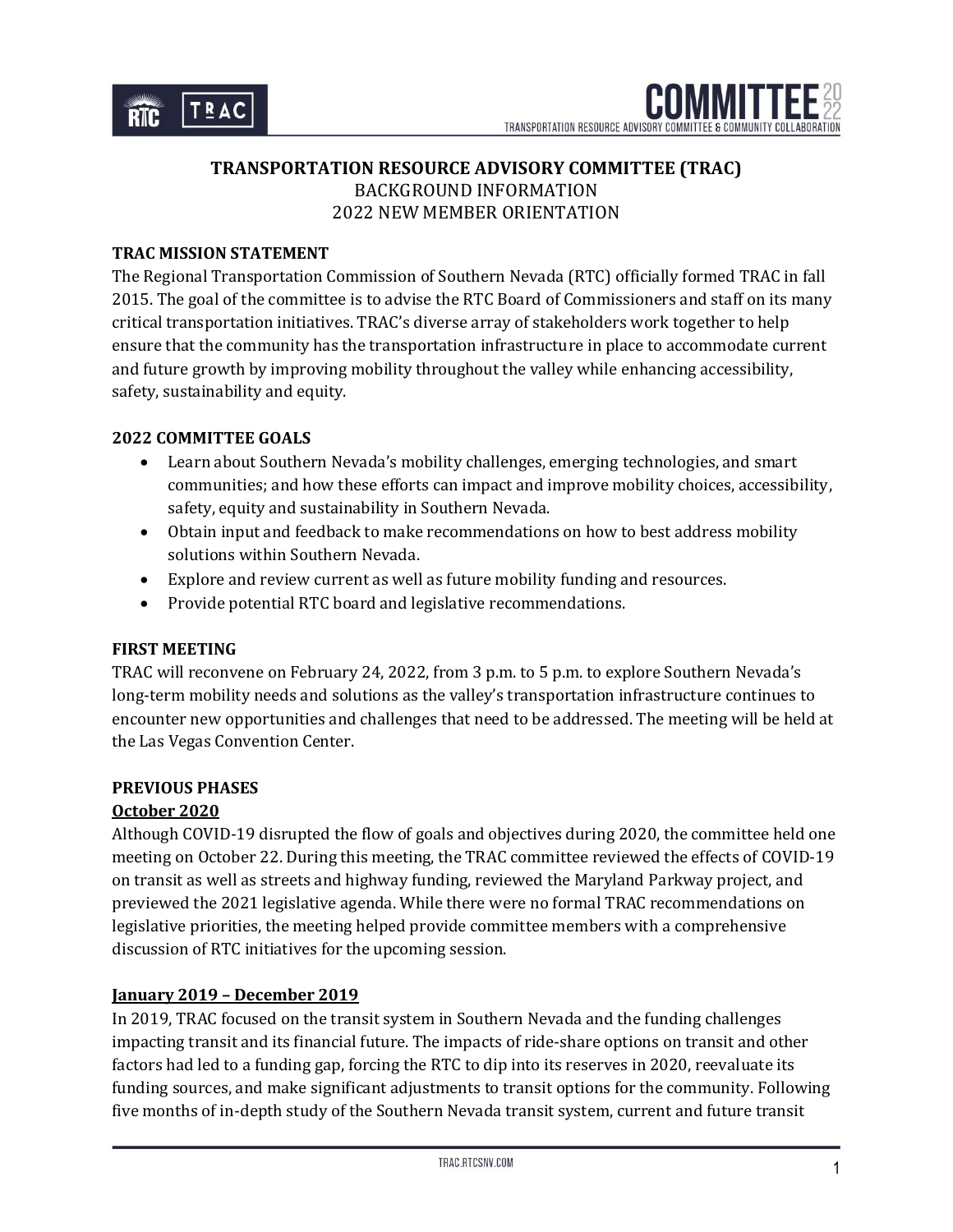# **TRANSPORTATION RESOURCE ADVISORY COMMITTEE (TRAC)** BACKGROUND INFORMATION 2022 NEW MEMBER ORIENTATION

## **TRAC MISSION STATEMENT**

The Regional Transportation Commission of Southern Nevada (RTC) officially formed TRAC in fall 2015. The goal of the committee is to advise the RTC Board of Commissioners and staff on its many critical transportation initiatives. TRAC's diverse array of stakeholders work together to help ensure that the community has the transportation infrastructure in place to accommodate current and future growth by improving mobility throughout the valley while enhancing accessibility, safety, sustainability and equity.

#### **2022 COMMITTEE GOALS**

- Learn about Southern Nevada's mobility challenges, emerging technologies, and smart communities; and how these efforts can impact and improve mobility choices, accessibility, safety, equity and sustainability in Southern Nevada.
- Obtain input and feedback to make recommendations on how to best address mobility solutions within Southern Nevada.
- Explore and review current as well as future mobility funding and resources.
- Provide potential RTC board and legislative recommendations.

#### **FIRST MEETING**

TRAC will reconvene on February 24, 2022, from 3 p.m. to 5 p.m. to explore Southern Nevada's long-term mobility needs and solutions as the valley's transportation infrastructure continues to encounter new opportunities and challenges that need to be addressed. The meeting will be held at the Las Vegas Convention Center.

#### **PREVIOUS PHASES**

#### **October 2020**

Although COVID-19 disrupted the flow of goals and objectives during 2020, the committee held one meeting on October 22. During this meeting, the TRAC committee reviewed the effects of COVID-19 on transit as well as streets and highway funding, reviewed the Maryland Parkway project, and previewed the 2021 legislative agenda. While there were no formal TRAC recommendations on legislative priorities, the meeting helped provide committee members with a comprehensive discussion of RTC initiatives for the upcoming session.

#### **January 2019 – December 2019**

In 2019, TRAC focused on the transit system in Southern Nevada and the funding challenges impacting transit and its financial future. The impacts of ride-share options on transit and other factors had led to a funding gap, forcing the RTC to dip into its reserves in 2020, reevaluate its funding sources, and make significant adjustments to transit options for the community. Following five months of in-depth study of the Southern Nevada transit system, current and future transit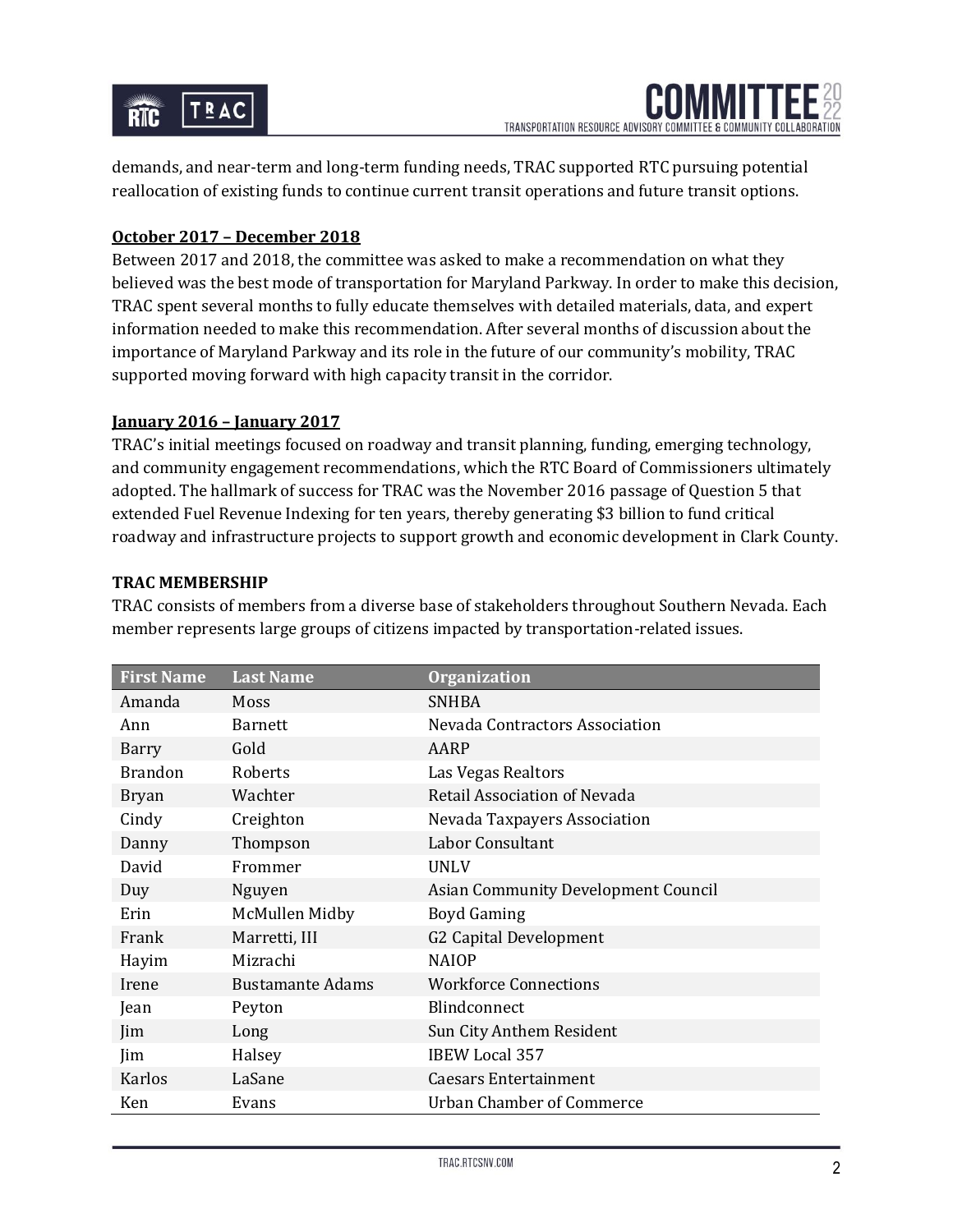

demands, and near-term and long-term funding needs, TRAC supported RTC pursuing potential reallocation of existing funds to continue current transit operations and future transit options.

## **October 2017 – December 2018**

Between 2017 and 2018, the committee was asked to make a recommendation on what they believed was the best mode of transportation for Maryland Parkway. In order to make this decision, TRAC spent several months to fully educate themselves with detailed materials, data, and expert information needed to make this recommendation. After several months of discussion about the importance of Maryland Parkway and its role in the future of our community's mobility, TRAC supported moving forward with high capacity transit in the corridor.

#### **January 2016 – January 2017**

TRAC's initial meetings focused on roadway and transit planning, funding, emerging technology, and community engagement recommendations, which the RTC Board of Commissioners ultimately adopted. The hallmark of success for TRAC was the November 2016 passage of Question 5 that extended Fuel Revenue Indexing for ten years, thereby generating \$3 billion to fund critical roadway and infrastructure projects to support growth and economic development in Clark County.

## **TRAC MEMBERSHIP**

TRAC consists of members from a diverse base of stakeholders throughout Southern Nevada. Each member represents large groups of citizens impacted by transportation-related issues.

| <b>First Name</b> | <b>Last Name</b>        | <b>Organization</b>                 |
|-------------------|-------------------------|-------------------------------------|
| Amanda            | Moss                    | <b>SNHBA</b>                        |
| Ann               | <b>Barnett</b>          | Nevada Contractors Association      |
| Barry             | Gold                    | AARP                                |
| <b>Brandon</b>    | Roberts                 | Las Vegas Realtors                  |
| <b>Bryan</b>      | Wachter                 | Retail Association of Nevada        |
| Cindy             | Creighton               | Nevada Taxpayers Association        |
| Danny             | Thompson                | Labor Consultant                    |
| David             | Frommer                 | <b>UNLV</b>                         |
| Duy               | Nguyen                  | Asian Community Development Council |
| Erin              | McMullen Midby          | <b>Boyd Gaming</b>                  |
| Frank             | Marretti, III           | G2 Capital Development              |
| Hayim             | Mizrachi                | <b>NAIOP</b>                        |
| Irene             | <b>Bustamante Adams</b> | <b>Workforce Connections</b>        |
| Jean              | Peyton                  | Blindconnect                        |
| Jim               | Long                    | Sun City Anthem Resident            |
| Jim               | Halsey                  | <b>IBEW Local 357</b>               |
| Karlos            | LaSane                  | <b>Caesars Entertainment</b>        |
| Ken               | Evans                   | <b>Urban Chamber of Commerce</b>    |